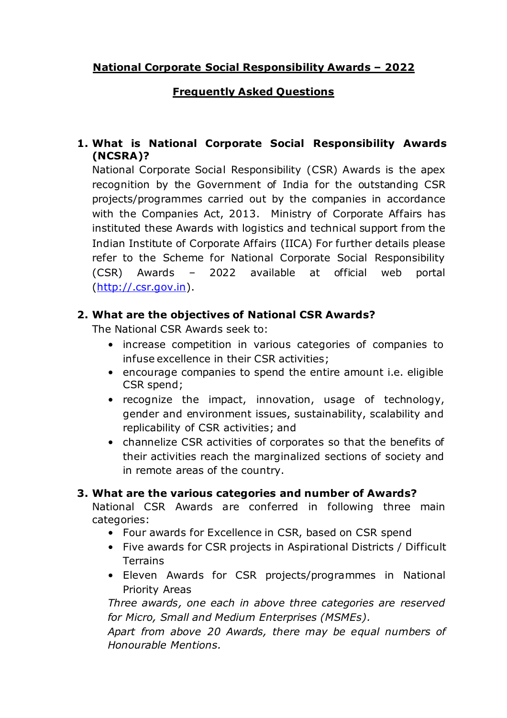# **National Corporate Social Responsibility Awards – 2022**

# **Frequently Asked Questions**

# **1. What is National Corporate Social Responsibility Awards (NCSRA)?**

National Corporate Social Responsibility (CSR) Awards is the apex recognition by the Government of India for the outstanding CSR projects/programmes carried out by the companies in accordance with the Companies Act, 2013. Ministry of Corporate Affairs has instituted these Awards with logistics and technical support from the Indian Institute of Corporate Affairs (IICA) For further details please refer to the Scheme for National Corporate Social Responsibility (CSR) Awards – 2022 available at official web portal (http://.csr.gov.in).

# **2. What are the objectives of National CSR Awards?**

The National CSR Awards seek to:

- increase competition in various categories of companies to infuse excellence in their CSR activities;
- encourage companies to spend the entire amount i.e. eligible CSR spend;
- recognize the impact, innovation, usage of technology, gender and environment issues, sustainability, scalability and replicability of CSR activities; and
- channelize CSR activities of corporates so that the benefits of their activities reach the marginalized sections of society and in remote areas of the country.

### **3. What are the various categories and number of Awards?**

National CSR Awards are conferred in following three main categories:

- Four awards for Excellence in CSR, based on CSR spend
- Five awards for CSR projects in Aspirational Districts / Difficult Terrains
- Eleven Awards for CSR projects/programmes in National Priority Areas

*Three awards, one each in above three categories are reserved for Micro, Small and Medium Enterprises (MSMEs).* 

*Apart from above 20 Awards, there may be equal numbers of Honourable Mentions.*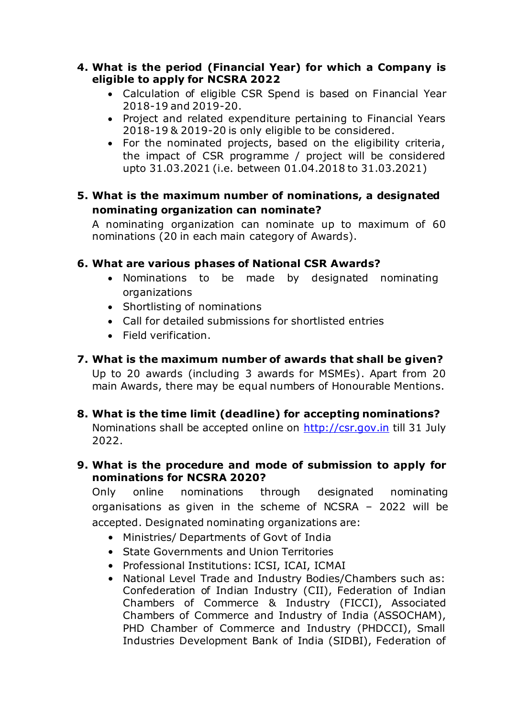#### **4. What is the period (Financial Year) for which a Company is eligible to apply for NCSRA 2022**

- Calculation of eligible CSR Spend is based on Financial Year 2018-19 and 2019-20.
- Project and related expenditure pertaining to Financial Years 2018-19 & 2019-20 is only eligible to be considered.
- For the nominated projects, based on the eligibility criteria, the impact of CSR programme / project will be considered upto 31.03.2021 (i.e. between 01.04.2018 to 31.03.2021)

### **5. What is the maximum number of nominations, a designated nominating organization can nominate?**

A nominating organization can nominate up to maximum of 60 nominations (20 in each main category of Awards).

# **6. What are various phases of National CSR Awards?**

- Nominations to be made by designated nominating organizations
- Shortlisting of nominations
- Call for detailed submissions for shortlisted entries
- Field verification.

# **7. What is the maximum number of awards that shall be given?**

Up to 20 awards (including 3 awards for MSMEs). Apart from 20 main Awards, there may be equal numbers of Honourable Mentions.

**8. What is the time limit (deadline) for accepting nominations?** Nominations shall be accepted online on [http://csr.gov.in](http://csr.gov.in/) till 31 July 2022.

### **9. What is the procedure and mode of submission to apply for nominations for NCSRA 2020?**

Only online nominations through designated nominating organisations as given in the scheme of NCSRA – 2022 will be accepted. Designated nominating organizations are:

- Ministries/ Departments of Govt of India
- State Governments and Union Territories
- Professional Institutions: ICSI, ICAI, ICMAI
- National Level Trade and Industry Bodies/Chambers such as: Confederation of Indian Industry (CII), Federation of Indian Chambers of Commerce & Industry (FICCI), Associated Chambers of Commerce and Industry of India (ASSOCHAM), PHD Chamber of Commerce and Industry (PHDCCI), Small Industries Development Bank of India (SIDBI), Federation of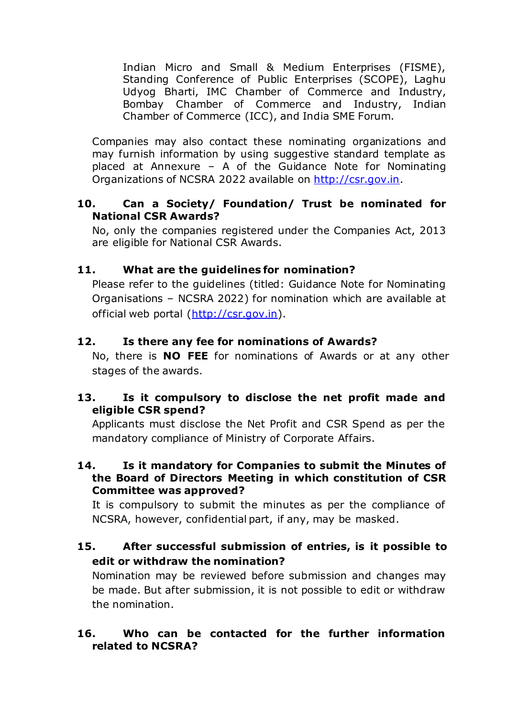Indian Micro and Small & Medium Enterprises (FISME), Standing Conference of Public Enterprises (SCOPE), Laghu Udyog Bharti, IMC Chamber of Commerce and Industry, Bombay Chamber of Commerce and Industry, Indian Chamber of Commerce (ICC), and India SME Forum.

Companies may also contact these nominating organizations and may furnish information by using suggestive standard template as placed at Annexure – A of the Guidance Note for Nominating Organizations of NCSRA 2022 available on [http://csr.gov.in.](http://csr.gov.in/)

#### **10. Can a Society/ Foundation/ Trust be nominated for National CSR Awards?**

No, only the companies registered under the Companies Act, 2013 are eligible for National CSR Awards.

# **11. What are the guidelines for nomination?**

Please refer to the guidelines (titled: Guidance Note for Nominating Organisations – NCSRA 2022) for nomination which are available at official web portal (http://csr.gov.in).

# **12. Is there any fee for nominations of Awards?**

No, there is **NO FEE** for nominations of Awards or at any other stages of the awards.

### **13. Is it compulsory to disclose the net profit made and eligible CSR spend?**

Applicants must disclose the Net Profit and CSR Spend as per the mandatory compliance of Ministry of Corporate Affairs.

#### **14. Is it mandatory for Companies to submit the Minutes of the Board of Directors Meeting in which constitution of CSR Committee was approved?**

It is compulsory to submit the minutes as per the compliance of NCSRA, however, confidential part, if any, may be masked.

# **15. After successful submission of entries, is it possible to edit or withdraw the nomination?**

Nomination may be reviewed before submission and changes may be made. But after submission, it is not possible to edit or withdraw the nomination.

#### **16. Who can be contacted for the further information related to NCSRA?**